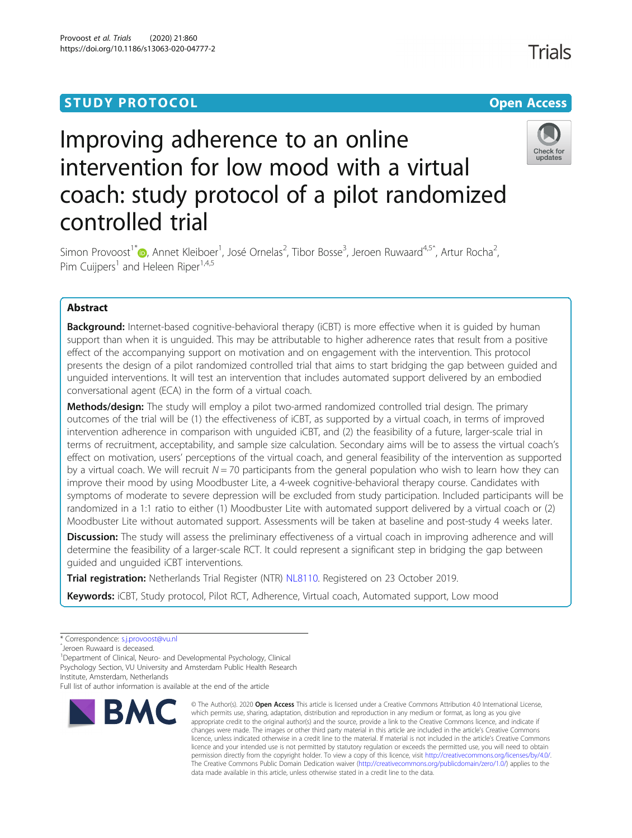# **STUDY PROTOCOL CONSUMING THE RESERVE ACCESS**



# Improving adherence to an online intervention for low mood with a virtual coach: study protocol of a pilot randomized controlled trial

Simon Provoost<sup>1\*</sup> D[,](http://orcid.org/0000-0001-7788-7111) Annet Kleiboer<sup>1</sup>, José Ornelas<sup>2</sup>, Tibor Bosse<sup>3</sup>, Jeroen Ruwaard<sup>4,5</sup>^, Artur Rocha<sup>2</sup> , Pim Cuijpers<sup>1</sup> and Heleen Riper<sup>1,4,5</sup>

# Abstract

**Background:** Internet-based cognitive-behavioral therapy (iCBT) is more effective when it is quided by human support than when it is unquided. This may be attributable to higher adherence rates that result from a positive effect of the accompanying support on motivation and on engagement with the intervention. This protocol presents the design of a pilot randomized controlled trial that aims to start bridging the gap between guided and unguided interventions. It will test an intervention that includes automated support delivered by an embodied conversational agent (ECA) in the form of a virtual coach.

Methods/design: The study will employ a pilot two-armed randomized controlled trial design. The primary outcomes of the trial will be (1) the effectiveness of iCBT, as supported by a virtual coach, in terms of improved intervention adherence in comparison with unguided iCBT, and (2) the feasibility of a future, larger-scale trial in terms of recruitment, acceptability, and sample size calculation. Secondary aims will be to assess the virtual coach's effect on motivation, users' perceptions of the virtual coach, and general feasibility of the intervention as supported by a virtual coach. We will recruit  $N = 70$  participants from the general population who wish to learn how they can improve their mood by using Moodbuster Lite, a 4-week cognitive-behavioral therapy course. Candidates with symptoms of moderate to severe depression will be excluded from study participation. Included participants will be randomized in a 1:1 ratio to either (1) Moodbuster Lite with automated support delivered by a virtual coach or (2) Moodbuster Lite without automated support. Assessments will be taken at baseline and post-study 4 weeks later.

Discussion: The study will assess the preliminary effectiveness of a virtual coach in improving adherence and will determine the feasibility of a larger-scale RCT. It could represent a significant step in bridging the gap between guided and unguided iCBT interventions.

Trial registration: Netherlands Trial Register (NTR) [NL8110.](https://www.trialregister.nl/trial/8110) Registered on 23 October 2019.

Keywords: iCBT, Study protocol, Pilot RCT, Adherence, Virtual coach, Automated support, Low mood

Full list of author information is available at the end of the article



<sup>©</sup> The Author(s), 2020 **Open Access** This article is licensed under a Creative Commons Attribution 4.0 International License, which permits use, sharing, adaptation, distribution and reproduction in any medium or format, as long as you give appropriate credit to the original author(s) and the source, provide a link to the Creative Commons licence, and indicate if changes were made. The images or other third party material in this article are included in the article's Creative Commons licence, unless indicated otherwise in a credit line to the material. If material is not included in the article's Creative Commons licence and your intended use is not permitted by statutory regulation or exceeds the permitted use, you will need to obtain permission directly from the copyright holder. To view a copy of this licence, visit [http://creativecommons.org/licenses/by/4.0/.](http://creativecommons.org/licenses/by/4.0/) The Creative Commons Public Domain Dedication waiver [\(http://creativecommons.org/publicdomain/zero/1.0/](http://creativecommons.org/publicdomain/zero/1.0/)) applies to the data made available in this article, unless otherwise stated in a credit line to the data.

<sup>\*</sup> Correspondence: [s.j.provoost@vu.nl](mailto:s.j.provoost@vu.nl)

ˆJeroen Ruwaard is deceased.

<sup>&</sup>lt;sup>1</sup>Department of Clinical, Neuro- and Developmental Psychology, Clinical Psychology Section, VU University and Amsterdam Public Health Research Institute, Amsterdam, Netherlands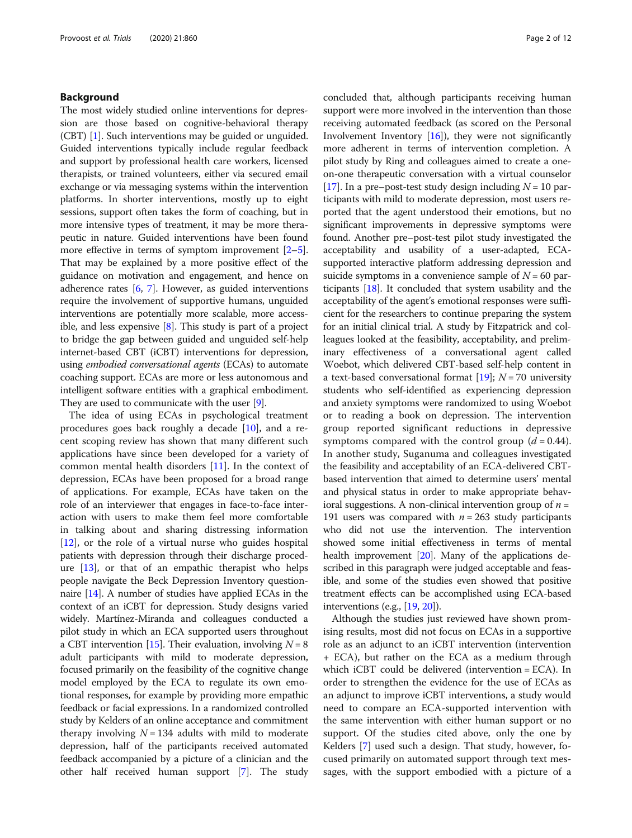# Background

The most widely studied online interventions for depression are those based on cognitive-behavioral therapy (CBT) [[1](#page-9-0)]. Such interventions may be guided or unguided. Guided interventions typically include regular feedback and support by professional health care workers, licensed therapists, or trained volunteers, either via secured email exchange or via messaging systems within the intervention platforms. In shorter interventions, mostly up to eight sessions, support often takes the form of coaching, but in more intensive types of treatment, it may be more therapeutic in nature. Guided interventions have been found more effective in terms of symptom improvement  $[2-5]$  $[2-5]$  $[2-5]$  $[2-5]$  $[2-5]$ . That may be explained by a more positive effect of the guidance on motivation and engagement, and hence on adherence rates [[6,](#page-10-0) [7\]](#page-10-0). However, as guided interventions require the involvement of supportive humans, unguided interventions are potentially more scalable, more accessible, and less expensive  $[8]$  $[8]$  $[8]$ . This study is part of a project to bridge the gap between guided and unguided self-help internet-based CBT (iCBT) interventions for depression, using embodied conversational agents (ECAs) to automate coaching support. ECAs are more or less autonomous and intelligent software entities with a graphical embodiment. They are used to communicate with the user [\[9](#page-10-0)].

The idea of using ECAs in psychological treatment procedures goes back roughly a decade [\[10](#page-10-0)], and a recent scoping review has shown that many different such applications have since been developed for a variety of common mental health disorders [\[11](#page-10-0)]. In the context of depression, ECAs have been proposed for a broad range of applications. For example, ECAs have taken on the role of an interviewer that engages in face-to-face interaction with users to make them feel more comfortable in talking about and sharing distressing information [[12\]](#page-10-0), or the role of a virtual nurse who guides hospital patients with depression through their discharge procedure [[13](#page-10-0)], or that of an empathic therapist who helps people navigate the Beck Depression Inventory questionnaire [\[14\]](#page-10-0). A number of studies have applied ECAs in the context of an iCBT for depression. Study designs varied widely. Martínez-Miranda and colleagues conducted a pilot study in which an ECA supported users throughout a CBT intervention [[15](#page-10-0)]. Their evaluation, involving  $N = 8$ adult participants with mild to moderate depression, focused primarily on the feasibility of the cognitive change model employed by the ECA to regulate its own emotional responses, for example by providing more empathic feedback or facial expressions. In a randomized controlled study by Kelders of an online acceptance and commitment therapy involving  $N = 134$  adults with mild to moderate depression, half of the participants received automated feedback accompanied by a picture of a clinician and the other half received human support [\[7](#page-10-0)]. The study

concluded that, although participants receiving human support were more involved in the intervention than those receiving automated feedback (as scored on the Personal Involvement Inventory  $[16]$  $[16]$ , they were not significantly more adherent in terms of intervention completion. A pilot study by Ring and colleagues aimed to create a oneon-one therapeutic conversation with a virtual counselor [[17](#page-10-0)]. In a pre–post-test study design including  $N = 10$  participants with mild to moderate depression, most users reported that the agent understood their emotions, but no significant improvements in depressive symptoms were found. Another pre–post-test pilot study investigated the acceptability and usability of a user-adapted, ECAsupported interactive platform addressing depression and suicide symptoms in a convenience sample of  $N = 60$  participants [[18](#page-10-0)]. It concluded that system usability and the acceptability of the agent's emotional responses were sufficient for the researchers to continue preparing the system for an initial clinical trial. A study by Fitzpatrick and colleagues looked at the feasibility, acceptability, and preliminary effectiveness of a conversational agent called Woebot, which delivered CBT-based self-help content in a text-based conversational format  $[19]$  $[19]$  $[19]$ ;  $N = 70$  university students who self-identified as experiencing depression and anxiety symptoms were randomized to using Woebot or to reading a book on depression. The intervention group reported significant reductions in depressive symptoms compared with the control group  $(d = 0.44)$ . In another study, Suganuma and colleagues investigated the feasibility and acceptability of an ECA-delivered CBTbased intervention that aimed to determine users' mental and physical status in order to make appropriate behavioral suggestions. A non-clinical intervention group of  $n =$ 191 users was compared with  $n = 263$  study participants who did not use the intervention. The intervention showed some initial effectiveness in terms of mental health improvement [[20](#page-10-0)]. Many of the applications described in this paragraph were judged acceptable and feasible, and some of the studies even showed that positive treatment effects can be accomplished using ECA-based interventions (e.g., [[19](#page-10-0), [20\]](#page-10-0)).

Although the studies just reviewed have shown promising results, most did not focus on ECAs in a supportive role as an adjunct to an iCBT intervention (intervention + ECA), but rather on the ECA as a medium through which iCBT could be delivered (intervention = ECA). In order to strengthen the evidence for the use of ECAs as an adjunct to improve iCBT interventions, a study would need to compare an ECA-supported intervention with the same intervention with either human support or no support. Of the studies cited above, only the one by Kelders [[7\]](#page-10-0) used such a design. That study, however, focused primarily on automated support through text messages, with the support embodied with a picture of a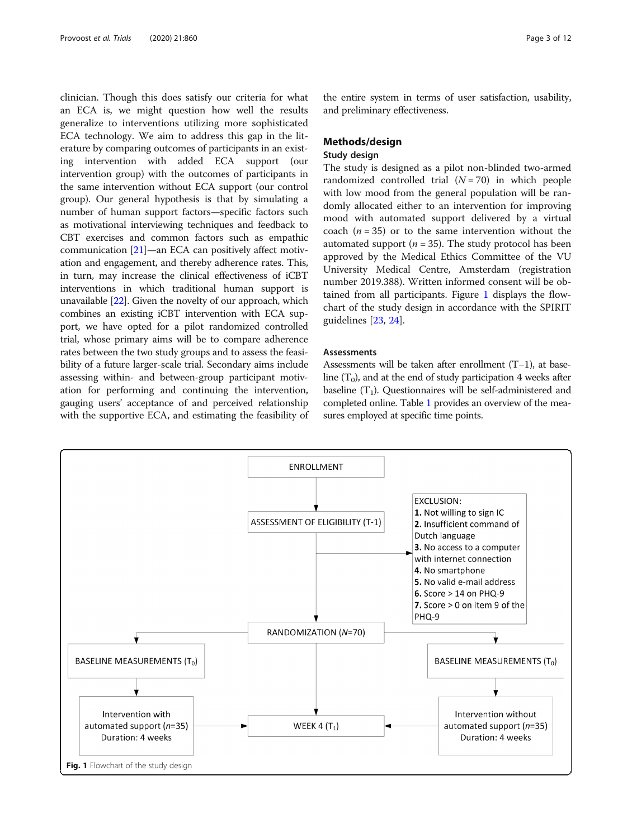clinician. Though this does satisfy our criteria for what an ECA is, we might question how well the results generalize to interventions utilizing more sophisticated ECA technology. We aim to address this gap in the literature by comparing outcomes of participants in an existing intervention with added ECA support (our intervention group) with the outcomes of participants in the same intervention without ECA support (our control group). Our general hypothesis is that by simulating a number of human support factors—specific factors such as motivational interviewing techniques and feedback to CBT exercises and common factors such as empathic communication [[21](#page-10-0)]—an ECA can positively affect motivation and engagement, and thereby adherence rates. This, in turn, may increase the clinical effectiveness of iCBT interventions in which traditional human support is unavailable [\[22\]](#page-10-0). Given the novelty of our approach, which combines an existing iCBT intervention with ECA support, we have opted for a pilot randomized controlled trial, whose primary aims will be to compare adherence rates between the two study groups and to assess the feasibility of a future larger-scale trial. Secondary aims include assessing within- and between-group participant motivation for performing and continuing the intervention, gauging users' acceptance of and perceived relationship with the supportive ECA, and estimating the feasibility of

the entire system in terms of user satisfaction, usability, and preliminary effectiveness.

# Methods/design

# Study design

The study is designed as a pilot non-blinded two-armed randomized controlled trial  $(N = 70)$  in which people with low mood from the general population will be randomly allocated either to an intervention for improving mood with automated support delivered by a virtual coach  $(n = 35)$  or to the same intervention without the automated support ( $n = 35$ ). The study protocol has been approved by the Medical Ethics Committee of the VU University Medical Centre, Amsterdam (registration number 2019.388). Written informed consent will be obtained from all participants. Figure 1 displays the flowchart of the study design in accordance with the SPIRIT guidelines [[23,](#page-10-0) [24](#page-10-0)].

# Assessments

Assessments will be taken after enrollment (T−1), at baseline  $(T_0)$ , and at the end of study participation 4 weeks after baseline  $(T_1)$ . Questionnaires will be self-administered and completed online. Table [1](#page-3-0) provides an overview of the measures employed at specific time points.

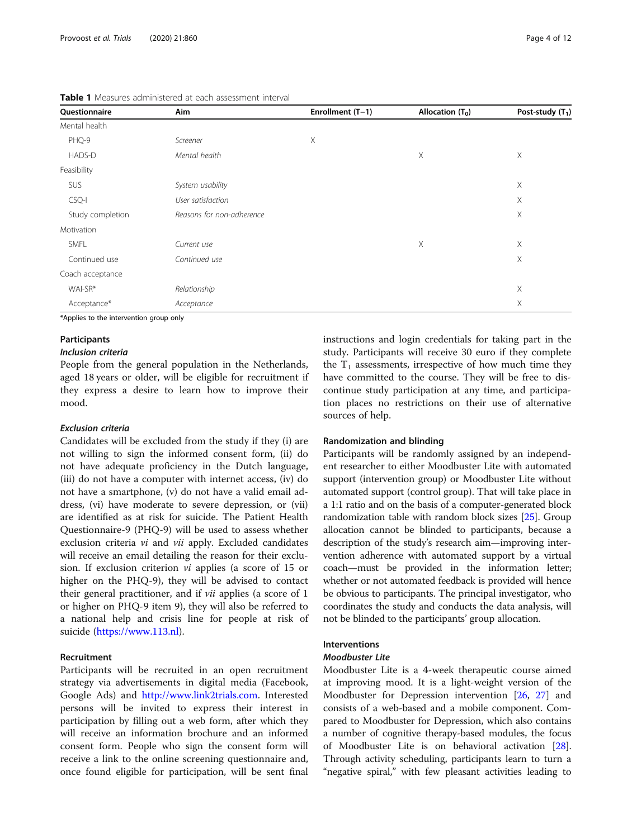| Questionnaire    | Aim                       | Enrollment (T-1) | Allocation $(T_0)$ | Post-study $(T_1)$ |
|------------------|---------------------------|------------------|--------------------|--------------------|
| Mental health    |                           |                  |                    |                    |
| PHQ-9            | Screener                  | X                |                    |                    |
| HADS-D           | Mental health             |                  | X                  | X                  |
| Feasibility      |                           |                  |                    |                    |
| <b>SUS</b>       | System usability          |                  |                    | X                  |
| CSQ-I            | User satisfaction         |                  |                    | X                  |
| Study completion | Reasons for non-adherence |                  |                    | Χ                  |
| Motivation       |                           |                  |                    |                    |
| SMFL             | Current use               |                  | $\times$           | X                  |
| Continued use    | Continued use             |                  |                    | X                  |
| Coach acceptance |                           |                  |                    |                    |
| WAI-SR*          | Relationship              |                  |                    | Χ                  |
| Acceptance*      | Acceptance                |                  |                    | X                  |

<span id="page-3-0"></span>Table 1 Measures administered at each assessment interval

\*Applies to the intervention group only

# Participants

# Inclusion criteria

People from the general population in the Netherlands, aged 18 years or older, will be eligible for recruitment if they express a desire to learn how to improve their mood.

# Exclusion criteria

Candidates will be excluded from the study if they (i) are not willing to sign the informed consent form, (ii) do not have adequate proficiency in the Dutch language, (iii) do not have a computer with internet access, (iv) do not have a smartphone, (v) do not have a valid email address, (vi) have moderate to severe depression, or (vii) are identified as at risk for suicide. The Patient Health Questionnaire-9 (PHQ-9) will be used to assess whether exclusion criteria vi and vii apply. Excluded candidates will receive an email detailing the reason for their exclusion. If exclusion criterion vi applies (a score of 15 or higher on the PHQ-9), they will be advised to contact their general practitioner, and if vii applies (a score of 1 or higher on PHQ-9 item 9), they will also be referred to a national help and crisis line for people at risk of suicide [\(https://www.113.nl\)](https://www.113.nl).

# Recruitment

Participants will be recruited in an open recruitment strategy via advertisements in digital media (Facebook, Google Ads) and [http://www.link2trials.com.](http://www.link2trials.com) Interested persons will be invited to express their interest in participation by filling out a web form, after which they will receive an information brochure and an informed consent form. People who sign the consent form will receive a link to the online screening questionnaire and, once found eligible for participation, will be sent final instructions and login credentials for taking part in the study. Participants will receive 30 euro if they complete the  $T_1$  assessments, irrespective of how much time they have committed to the course. They will be free to discontinue study participation at any time, and participation places no restrictions on their use of alternative sources of help.

# Randomization and blinding

Participants will be randomly assigned by an independent researcher to either Moodbuster Lite with automated support (intervention group) or Moodbuster Lite without automated support (control group). That will take place in a 1:1 ratio and on the basis of a computer-generated block randomization table with random block sizes [\[25\]](#page-10-0). Group allocation cannot be blinded to participants, because a description of the study's research aim—improving intervention adherence with automated support by a virtual coach—must be provided in the information letter; whether or not automated feedback is provided will hence be obvious to participants. The principal investigator, who coordinates the study and conducts the data analysis, will not be blinded to the participants' group allocation.

# Interventions

# Moodbuster Lite

Moodbuster Lite is a 4-week therapeutic course aimed at improving mood. It is a light-weight version of the Moodbuster for Depression intervention [\[26](#page-10-0), [27\]](#page-10-0) and consists of a web-based and a mobile component. Compared to Moodbuster for Depression, which also contains a number of cognitive therapy-based modules, the focus of Moodbuster Lite is on behavioral activation [[28](#page-10-0)]. Through activity scheduling, participants learn to turn a "negative spiral," with few pleasant activities leading to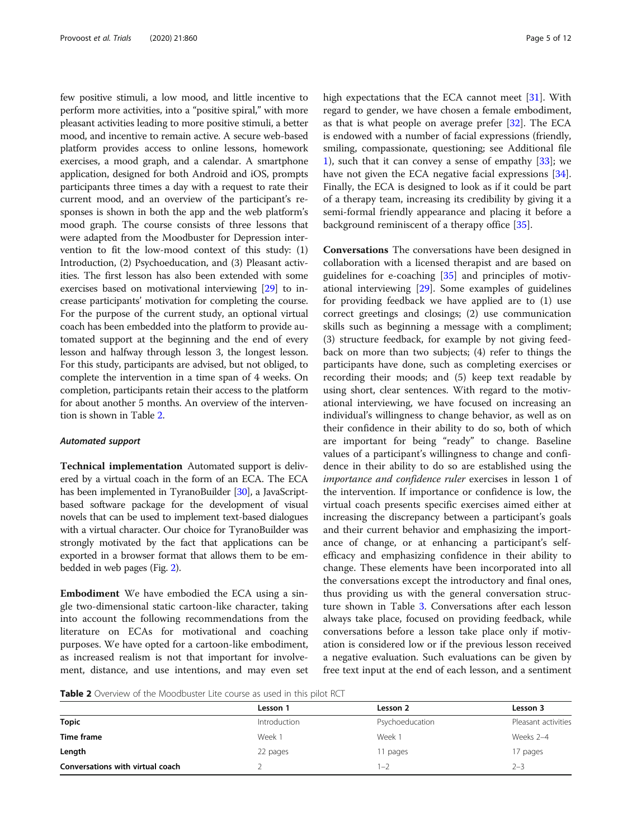few positive stimuli, a low mood, and little incentive to perform more activities, into a "positive spiral," with more pleasant activities leading to more positive stimuli, a better mood, and incentive to remain active. A secure web-based platform provides access to online lessons, homework exercises, a mood graph, and a calendar. A smartphone application, designed for both Android and iOS, prompts participants three times a day with a request to rate their current mood, and an overview of the participant's responses is shown in both the app and the web platform's mood graph. The course consists of three lessons that were adapted from the Moodbuster for Depression intervention to fit the low-mood context of this study: (1) Introduction, (2) Psychoeducation, and (3) Pleasant activities. The first lesson has also been extended with some exercises based on motivational interviewing [\[29](#page-10-0)] to increase participants' motivation for completing the course. For the purpose of the current study, an optional virtual coach has been embedded into the platform to provide automated support at the beginning and the end of every lesson and halfway through lesson 3, the longest lesson. For this study, participants are advised, but not obliged, to complete the intervention in a time span of 4 weeks. On completion, participants retain their access to the platform for about another 5 months. An overview of the intervention is shown in Table 2.

# Automated support

Technical implementation Automated support is delivered by a virtual coach in the form of an ECA. The ECA has been implemented in TyranoBuilder [\[30\]](#page-10-0), a JavaScriptbased software package for the development of visual novels that can be used to implement text-based dialogues with a virtual character. Our choice for TyranoBuilder was strongly motivated by the fact that applications can be exported in a browser format that allows them to be embedded in web pages (Fig. [2\)](#page-5-0).

Embodiment We have embodied the ECA using a single two-dimensional static cartoon-like character, taking into account the following recommendations from the literature on ECAs for motivational and coaching purposes. We have opted for a cartoon-like embodiment, as increased realism is not that important for involvement, distance, and use intentions, and may even set high expectations that the ECA cannot meet [[31\]](#page-10-0). With regard to gender, we have chosen a female embodiment, as that is what people on average prefer [[32](#page-10-0)]. The ECA is endowed with a number of facial expressions (friendly, smiling, compassionate, questioning; see Additional file [1\)](#page-9-0), such that it can convey a sense of empathy  $[33]$  $[33]$ ; we have not given the ECA negative facial expressions [\[34](#page-10-0)]. Finally, the ECA is designed to look as if it could be part of a therapy team, increasing its credibility by giving it a semi-formal friendly appearance and placing it before a background reminiscent of a therapy office [[35\]](#page-10-0).

Conversations The conversations have been designed in collaboration with a licensed therapist and are based on guidelines for e-coaching [[35\]](#page-10-0) and principles of motivational interviewing [\[29](#page-10-0)]. Some examples of guidelines for providing feedback we have applied are to (1) use correct greetings and closings; (2) use communication skills such as beginning a message with a compliment; (3) structure feedback, for example by not giving feedback on more than two subjects; (4) refer to things the participants have done, such as completing exercises or recording their moods; and (5) keep text readable by using short, clear sentences. With regard to the motivational interviewing, we have focused on increasing an individual's willingness to change behavior, as well as on their confidence in their ability to do so, both of which are important for being "ready" to change. Baseline values of a participant's willingness to change and confidence in their ability to do so are established using the importance and confidence ruler exercises in lesson 1 of the intervention. If importance or confidence is low, the virtual coach presents specific exercises aimed either at increasing the discrepancy between a participant's goals and their current behavior and emphasizing the importance of change, or at enhancing a participant's selfefficacy and emphasizing confidence in their ability to change. These elements have been incorporated into all the conversations except the introductory and final ones, thus providing us with the general conversation structure shown in Table [3](#page-5-0). Conversations after each lesson always take place, focused on providing feedback, while conversations before a lesson take place only if motivation is considered low or if the previous lesson received a negative evaluation. Such evaluations can be given by free text input at the end of each lesson, and a sentiment

Table 2 Overview of the Moodbuster Lite course as used in this pilot RCT

|                                  | Lesson 1     | Lesson 2        | Lesson 3            |
|----------------------------------|--------------|-----------------|---------------------|
| <b>Topic</b>                     | Introduction | Psychoeducation | Pleasant activities |
| Time frame                       | Week 1       | Week 1          | Weeks 2-4           |
| Length                           | 22 pages     | 11 pages        | 17 pages            |
| Conversations with virtual coach |              | $ -2$           | $2 - 3$             |
|                                  |              |                 |                     |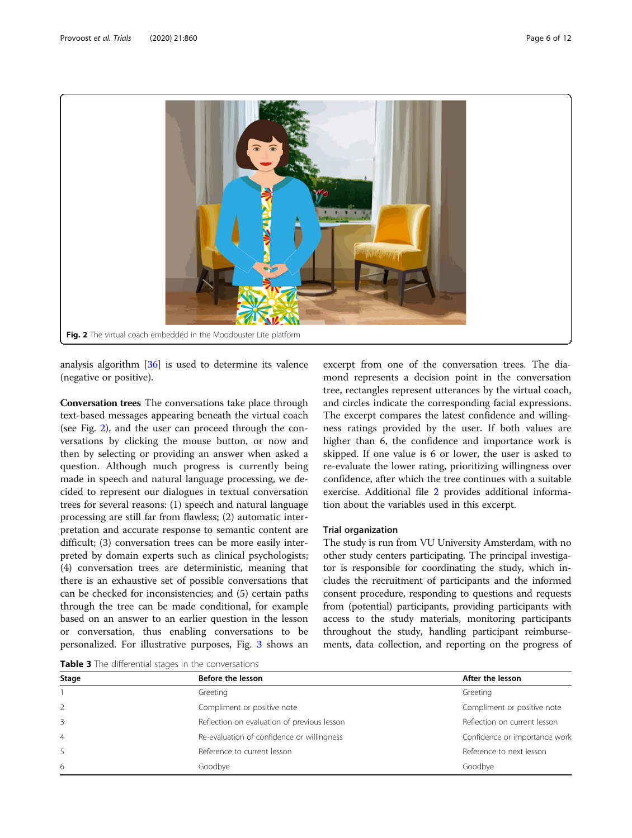<span id="page-5-0"></span>

analysis algorithm [[36\]](#page-10-0) is used to determine its valence (negative or positive).

Conversation trees The conversations take place through text-based messages appearing beneath the virtual coach (see Fig. 2), and the user can proceed through the conversations by clicking the mouse button, or now and then by selecting or providing an answer when asked a question. Although much progress is currently being made in speech and natural language processing, we decided to represent our dialogues in textual conversation trees for several reasons: (1) speech and natural language processing are still far from flawless; (2) automatic interpretation and accurate response to semantic content are difficult; (3) conversation trees can be more easily interpreted by domain experts such as clinical psychologists; (4) conversation trees are deterministic, meaning that there is an exhaustive set of possible conversations that can be checked for inconsistencies; and (5) certain paths through the tree can be made conditional, for example based on an answer to an earlier question in the lesson or conversation, thus enabling conversations to be personalized. For illustrative purposes, Fig. [3](#page-6-0) shows an

excerpt from one of the conversation trees. The diamond represents a decision point in the conversation tree, rectangles represent utterances by the virtual coach, and circles indicate the corresponding facial expressions. The excerpt compares the latest confidence and willingness ratings provided by the user. If both values are higher than 6, the confidence and importance work is skipped. If one value is 6 or lower, the user is asked to re-evaluate the lower rating, prioritizing willingness over confidence, after which the tree continues with a suitable exercise. Additional file [2](#page-9-0) provides additional information about the variables used in this excerpt.

# Trial organization

The study is run from VU University Amsterdam, with no other study centers participating. The principal investigator is responsible for coordinating the study, which includes the recruitment of participants and the informed consent procedure, responding to questions and requests from (potential) participants, providing participants with access to the study materials, monitoring participants throughout the study, handling participant reimbursements, data collection, and reporting on the progress of

Table 3 The differential stages in the conversations

| Stage          | Before the lesson                           | After the lesson              |  |
|----------------|---------------------------------------------|-------------------------------|--|
|                | Greeting                                    | Greeting                      |  |
| $\overline{2}$ | Compliment or positive note                 | Compliment or positive note   |  |
| $\overline{3}$ | Reflection on evaluation of previous lesson | Reflection on current lesson  |  |
| $\overline{4}$ | Re-evaluation of confidence or willingness  | Confidence or importance work |  |
| 5              | Reference to current lesson                 | Reference to next lesson      |  |
| 6              | Goodbye                                     | Goodbye                       |  |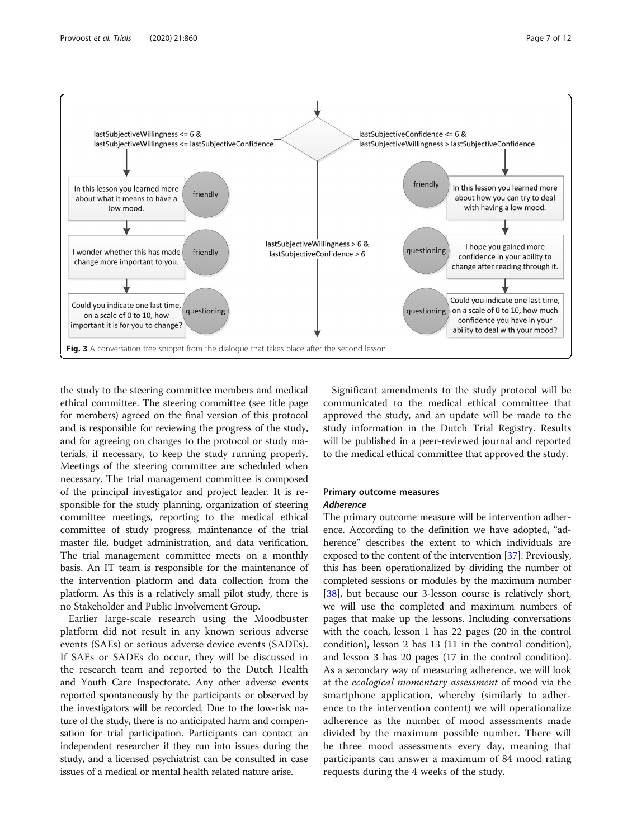

<span id="page-6-0"></span>

the study to the steering committee members and medical ethical committee. The steering committee (see title page for members) agreed on the final version of this protocol and is responsible for reviewing the progress of the study, and for agreeing on changes to the protocol or study materials, if necessary, to keep the study running properly. Meetings of the steering committee are scheduled when necessary. The trial management committee is composed of the principal investigator and project leader. It is responsible for the study planning, organization of steering committee meetings, reporting to the medical ethical committee of study progress, maintenance of the trial master file, budget administration, and data verification. The trial management committee meets on a monthly basis. An IT team is responsible for the maintenance of the intervention platform and data collection from the platform. As this is a relatively small pilot study, there is no Stakeholder and Public Involvement Group.

Earlier large-scale research using the Moodbuster platform did not result in any known serious adverse events (SAEs) or serious adverse device events (SADEs). If SAEs or SADEs do occur, they will be discussed in the research team and reported to the Dutch Health and Youth Care Inspectorate. Any other adverse events reported spontaneously by the participants or observed by the investigators will be recorded. Due to the low-risk nature of the study, there is no anticipated harm and compensation for trial participation. Participants can contact an independent researcher if they run into issues during the study, and a licensed psychiatrist can be consulted in case issues of a medical or mental health related nature arise.

Significant amendments to the study protocol will be communicated to the medical ethical committee that approved the study, and an update will be made to the study information in the Dutch Trial Registry. Results will be published in a peer-reviewed journal and reported to the medical ethical committee that approved the study.

# Primary outcome measures Adherence

The primary outcome measure will be intervention adherence. According to the definition we have adopted, "adherence" describes the extent to which individuals are exposed to the content of the intervention [\[37\]](#page-10-0). Previously, this has been operationalized by dividing the number of completed sessions or modules by the maximum number [[38](#page-10-0)], but because our 3-lesson course is relatively short, we will use the completed and maximum numbers of pages that make up the lessons. Including conversations with the coach, lesson 1 has 22 pages (20 in the control condition), lesson 2 has 13 (11 in the control condition), and lesson 3 has 20 pages (17 in the control condition). As a secondary way of measuring adherence, we will look at the ecological momentary assessment of mood via the smartphone application, whereby (similarly to adherence to the intervention content) we will operationalize adherence as the number of mood assessments made divided by the maximum possible number. There will be three mood assessments every day, meaning that participants can answer a maximum of 84 mood rating requests during the 4 weeks of the study.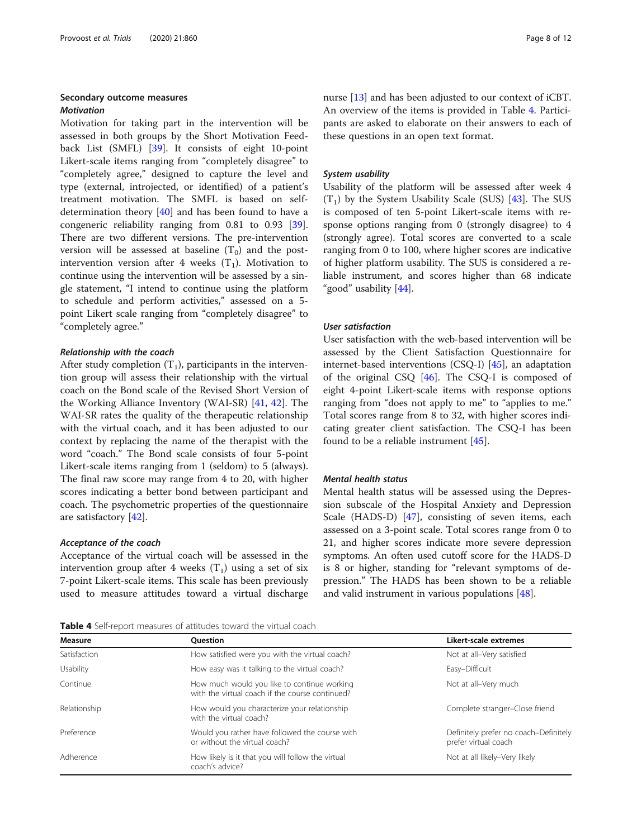# Secondary outcome measures Motivation

Motivation for taking part in the intervention will be assessed in both groups by the Short Motivation Feedback List (SMFL) [\[39](#page-10-0)]. It consists of eight 10-point Likert-scale items ranging from "completely disagree" to "completely agree," designed to capture the level and type (external, introjected, or identified) of a patient's treatment motivation. The SMFL is based on selfdetermination theory [\[40](#page-10-0)] and has been found to have a congeneric reliability ranging from 0.81 to 0.93 [\[39](#page-10-0)]. There are two different versions. The pre-intervention version will be assessed at baseline  $(T_0)$  and the postintervention version after 4 weeks  $(T_1)$ . Motivation to continue using the intervention will be assessed by a single statement, "I intend to continue using the platform to schedule and perform activities," assessed on a 5 point Likert scale ranging from "completely disagree" to "completely agree."

# Relationship with the coach

After study completion  $(T_1)$ , participants in the intervention group will assess their relationship with the virtual coach on the Bond scale of the Revised Short Version of the Working Alliance Inventory (WAI-SR) [\[41](#page-10-0), [42](#page-11-0)]. The WAI-SR rates the quality of the therapeutic relationship with the virtual coach, and it has been adjusted to our context by replacing the name of the therapist with the word "coach." The Bond scale consists of four 5-point Likert-scale items ranging from 1 (seldom) to 5 (always). The final raw score may range from 4 to 20, with higher scores indicating a better bond between participant and coach. The psychometric properties of the questionnaire are satisfactory [[42\]](#page-11-0).

# Acceptance of the coach

Acceptance of the virtual coach will be assessed in the intervention group after 4 weeks  $(T_1)$  using a set of six 7-point Likert-scale items. This scale has been previously used to measure attitudes toward a virtual discharge nurse [\[13](#page-10-0)] and has been adjusted to our context of iCBT. An overview of the items is provided in Table 4. Participants are asked to elaborate on their answers to each of these questions in an open text format.

# System usability

Usability of the platform will be assessed after week 4  $(T_1)$  by the System Usability Scale (SUS) [\[43](#page-11-0)]. The SUS is composed of ten 5-point Likert-scale items with response options ranging from 0 (strongly disagree) to 4 (strongly agree). Total scores are converted to a scale ranging from 0 to 100, where higher scores are indicative of higher platform usability. The SUS is considered a reliable instrument, and scores higher than 68 indicate "good" usability [[44\]](#page-11-0).

# User satisfaction

User satisfaction with the web-based intervention will be assessed by the Client Satisfaction Questionnaire for internet-based interventions (CSQ-I) [\[45](#page-11-0)], an adaptation of the original CSQ [[46](#page-11-0)]. The CSQ-I is composed of eight 4-point Likert-scale items with response options ranging from "does not apply to me" to "applies to me." Total scores range from 8 to 32, with higher scores indicating greater client satisfaction. The CSQ-I has been found to be a reliable instrument [\[45](#page-11-0)].

# Mental health status

Mental health status will be assessed using the Depression subscale of the Hospital Anxiety and Depression Scale (HADS-D) [[47\]](#page-11-0), consisting of seven items, each assessed on a 3-point scale. Total scores range from 0 to 21, and higher scores indicate more severe depression symptoms. An often used cutoff score for the HADS-D is 8 or higher, standing for "relevant symptoms of depression." The HADS has been shown to be a reliable and valid instrument in various populations [\[48\]](#page-11-0).

Table 4 Self-report measures of attitudes toward the virtual coach

| Measure      | <b>Ouestion</b>                                                                                | Likert-scale extremes                                         |  |  |
|--------------|------------------------------------------------------------------------------------------------|---------------------------------------------------------------|--|--|
| Satisfaction | How satisfied were you with the virtual coach?                                                 | Not at all-Very satisfied                                     |  |  |
| Usability    | How easy was it talking to the virtual coach?                                                  | Easy-Difficult                                                |  |  |
| Continue     | How much would you like to continue working<br>with the virtual coach if the course continued? | Not at all-Very much                                          |  |  |
| Relationship | How would you characterize your relationship<br>with the virtual coach?                        | Complete stranger-Close friend                                |  |  |
| Preference   | Would you rather have followed the course with<br>or without the virtual coach?                | Definitely prefer no coach-Definitely<br>prefer virtual coach |  |  |
| Adherence    | How likely is it that you will follow the virtual<br>coach's advice?                           | Not at all likely-Very likely                                 |  |  |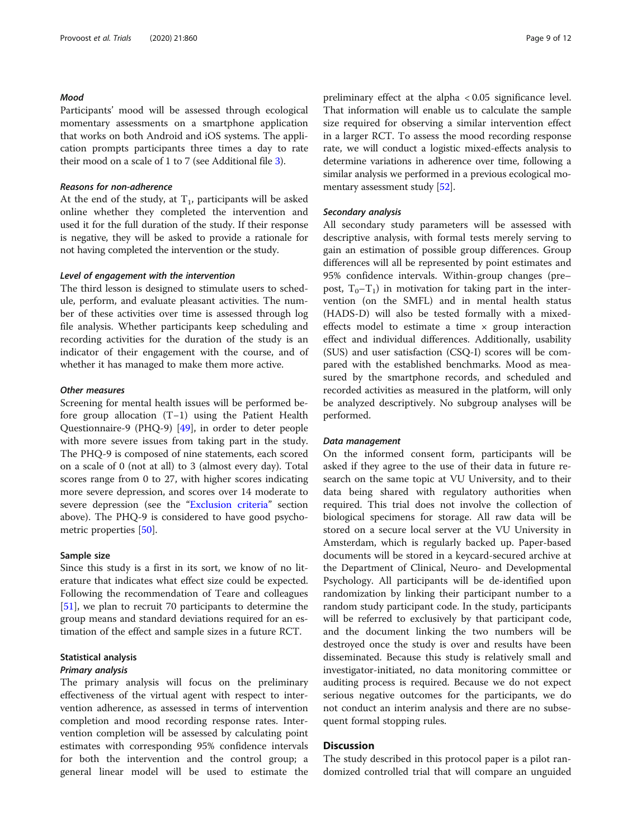# Mood

Participants' mood will be assessed through ecological momentary assessments on a smartphone application that works on both Android and iOS systems. The application prompts participants three times a day to rate their mood on a scale of 1 to 7 (see Additional file [3](#page-9-0)).

# Reasons for non-adherence

At the end of the study, at  $T_1$ , participants will be asked online whether they completed the intervention and used it for the full duration of the study. If their response is negative, they will be asked to provide a rationale for not having completed the intervention or the study.

# Level of engagement with the intervention

The third lesson is designed to stimulate users to schedule, perform, and evaluate pleasant activities. The number of these activities over time is assessed through log file analysis. Whether participants keep scheduling and recording activities for the duration of the study is an indicator of their engagement with the course, and of whether it has managed to make them more active.

# Other measures

Screening for mental health issues will be performed before group allocation (T−1) using the Patient Health Questionnaire-9 (PHQ-9) [[49](#page-11-0)], in order to deter people with more severe issues from taking part in the study. The PHQ-9 is composed of nine statements, each scored on a scale of 0 (not at all) to 3 (almost every day). Total scores range from 0 to 27, with higher scores indicating more severe depression, and scores over 14 moderate to severe depression (see the "[Exclusion criteria](#page-3-0)" section above). The PHQ-9 is considered to have good psychometric properties [\[50](#page-11-0)].

# Sample size

Since this study is a first in its sort, we know of no literature that indicates what effect size could be expected. Following the recommendation of Teare and colleagues [[51\]](#page-11-0), we plan to recruit 70 participants to determine the group means and standard deviations required for an estimation of the effect and sample sizes in a future RCT.

# Statistical analysis

# Primary analysis

The primary analysis will focus on the preliminary effectiveness of the virtual agent with respect to intervention adherence, as assessed in terms of intervention completion and mood recording response rates. Intervention completion will be assessed by calculating point estimates with corresponding 95% confidence intervals for both the intervention and the control group; a general linear model will be used to estimate the preliminary effect at the alpha < 0.05 significance level. That information will enable us to calculate the sample size required for observing a similar intervention effect in a larger RCT. To assess the mood recording response rate, we will conduct a logistic mixed-effects analysis to determine variations in adherence over time, following a similar analysis we performed in a previous ecological momentary assessment study [\[52](#page-11-0)].

# Secondary analysis

All secondary study parameters will be assessed with descriptive analysis, with formal tests merely serving to gain an estimation of possible group differences. Group differences will all be represented by point estimates and 95% confidence intervals. Within-group changes (pre– post,  $T_0 - T_1$ ) in motivation for taking part in the intervention (on the SMFL) and in mental health status (HADS-D) will also be tested formally with a mixedeffects model to estimate a time  $\times$  group interaction effect and individual differences. Additionally, usability (SUS) and user satisfaction (CSQ-I) scores will be compared with the established benchmarks. Mood as measured by the smartphone records, and scheduled and recorded activities as measured in the platform, will only be analyzed descriptively. No subgroup analyses will be performed.

# Data management

On the informed consent form, participants will be asked if they agree to the use of their data in future research on the same topic at VU University, and to their data being shared with regulatory authorities when required. This trial does not involve the collection of biological specimens for storage. All raw data will be stored on a secure local server at the VU University in Amsterdam, which is regularly backed up. Paper-based documents will be stored in a keycard-secured archive at the Department of Clinical, Neuro- and Developmental Psychology. All participants will be de-identified upon randomization by linking their participant number to a random study participant code. In the study, participants will be referred to exclusively by that participant code, and the document linking the two numbers will be destroyed once the study is over and results have been disseminated. Because this study is relatively small and investigator-initiated, no data monitoring committee or auditing process is required. Because we do not expect serious negative outcomes for the participants, we do not conduct an interim analysis and there are no subsequent formal stopping rules.

# **Discussion**

The study described in this protocol paper is a pilot randomized controlled trial that will compare an unguided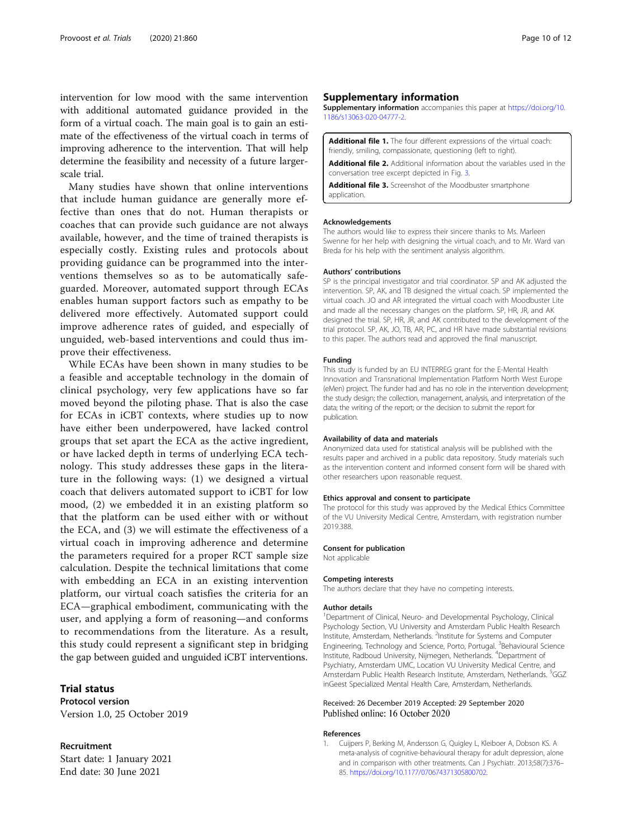<span id="page-9-0"></span>intervention for low mood with the same intervention with additional automated guidance provided in the form of a virtual coach. The main goal is to gain an estimate of the effectiveness of the virtual coach in terms of improving adherence to the intervention. That will help determine the feasibility and necessity of a future largerscale trial.

Many studies have shown that online interventions that include human guidance are generally more effective than ones that do not. Human therapists or coaches that can provide such guidance are not always available, however, and the time of trained therapists is especially costly. Existing rules and protocols about providing guidance can be programmed into the interventions themselves so as to be automatically safeguarded. Moreover, automated support through ECAs enables human support factors such as empathy to be delivered more effectively. Automated support could improve adherence rates of guided, and especially of unguided, web-based interventions and could thus improve their effectiveness.

While ECAs have been shown in many studies to be a feasible and acceptable technology in the domain of clinical psychology, very few applications have so far moved beyond the piloting phase. That is also the case for ECAs in iCBT contexts, where studies up to now have either been underpowered, have lacked control groups that set apart the ECA as the active ingredient, or have lacked depth in terms of underlying ECA technology. This study addresses these gaps in the literature in the following ways: (1) we designed a virtual coach that delivers automated support to iCBT for low mood, (2) we embedded it in an existing platform so that the platform can be used either with or without the ECA, and (3) we will estimate the effectiveness of a virtual coach in improving adherence and determine the parameters required for a proper RCT sample size calculation. Despite the technical limitations that come with embedding an ECA in an existing intervention platform, our virtual coach satisfies the criteria for an ECA—graphical embodiment, communicating with the user, and applying a form of reasoning—and conforms to recommendations from the literature. As a result, this study could represent a significant step in bridging the gap between guided and unguided iCBT interventions.

# Trial status

Protocol version Version 1.0, 25 October 2019

# Recruitment

Start date: 1 January 2021 End date: 30 June 2021

# Supplementary information

Supplementary information accompanies this paper at [https://doi.org/10.](https://doi.org/10.1186/s13063-020-04777-2) [1186/s13063-020-04777-2](https://doi.org/10.1186/s13063-020-04777-2).

Additional file 1. The four different expressions of the virtual coach: friendly, smiling, compassionate, questioning (left to right).

Additional file 2. Additional information about the variables used in the conversation tree excerpt depicted in Fig. 3.

Additional file 3. Screenshot of the Moodbuster smartphone application.

#### Acknowledgements

The authors would like to express their sincere thanks to Ms. Marleen Swenne for her help with designing the virtual coach, and to Mr. Ward van Breda for his help with the sentiment analysis algorithm.

#### Authors' contributions

SP is the principal investigator and trial coordinator. SP and AK adjusted the intervention. SP, AK, and TB designed the virtual coach. SP implemented the virtual coach. JO and AR integrated the virtual coach with Moodbuster Lite and made all the necessary changes on the platform. SP, HR, JR, and AK designed the trial. SP, HR, JR, and AK contributed to the development of the trial protocol. SP, AK, JO, TB, AR, PC, and HR have made substantial revisions to this paper. The authors read and approved the final manuscript.

# Funding

This study is funded by an EU INTERREG grant for the E-Mental Health Innovation and Transnational Implementation Platform North West Europe (eMen) project. The funder had and has no role in the intervention development; the study design; the collection, management, analysis, and interpretation of the data; the writing of the report; or the decision to submit the report for publication.

# Availability of data and materials

Anonymized data used for statistical analysis will be published with the results paper and archived in a public data repository. Study materials such as the intervention content and informed consent form will be shared with other researchers upon reasonable request.

#### Ethics approval and consent to participate

The protocol for this study was approved by the Medical Ethics Committee of the VU University Medical Centre, Amsterdam, with registration number 2019.388.

# Consent for publication

Not applicable

### Competing interests

The authors declare that they have no competing interests.

#### Author details

<sup>1</sup>Department of Clinical, Neuro- and Developmental Psychology, Clinical Psychology Section, VU University and Amsterdam Public Health Research Institute, Amsterdam, Netherlands. <sup>2</sup>Institute for Systems and Computer Engineering, Technology and Science, Porto, Portugal. <sup>3</sup>Behavioural Science Institute, Radboud University, Nijmegen, Netherlands. <sup>4</sup> Department of Psychiatry, Amsterdam UMC, Location VU University Medical Centre, and Amsterdam Public Health Research Institute, Amsterdam, Netherlands. <sup>5</sup>GGZ inGeest Specialized Mental Health Care, Amsterdam, Netherlands.

# Received: 26 December 2019 Accepted: 29 September 2020 Published online: 16 October 2020

# References

1. Cuijpers P, Berking M, Andersson G, Quigley L, Kleiboer A, Dobson KS. A meta-analysis of cognitive-behavioural therapy for adult depression, alone and in comparison with other treatments. Can J Psychiatr. 2013;58(7):376– 85. [https://doi.org/10.1177/070674371305800702.](https://doi.org/10.1177/070674371305800702)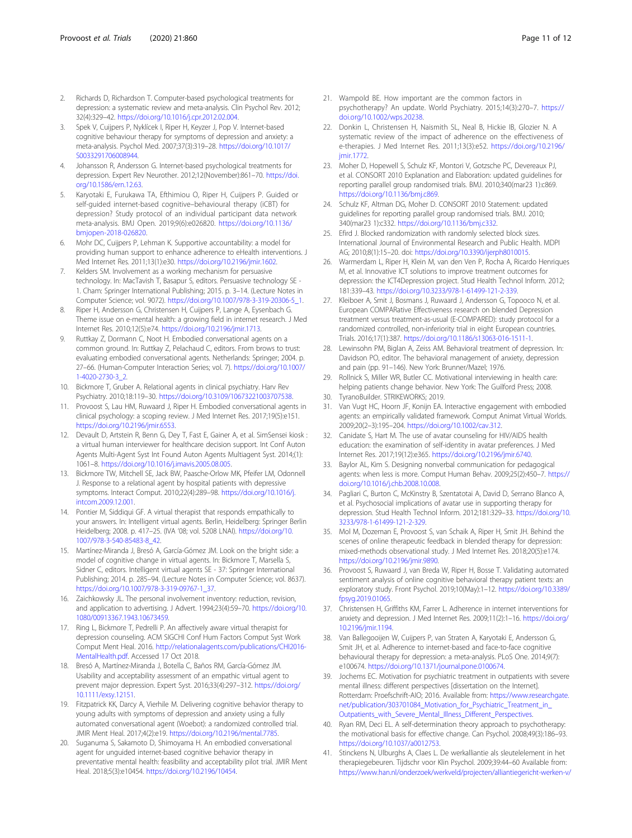- <span id="page-10-0"></span>2. Richards D, Richardson T. Computer-based psychological treatments for depression: a systematic review and meta-analysis. Clin Psychol Rev. 2012; 32(4):329–42. [https://doi.org/10.1016/j.cpr.2012.02.004.](https://doi.org/10.1016/j.cpr.2012.02.004)
- Spek V, Cuijpers P, Nyklícek I, Riper H, Keyzer J, Pop V. Internet-based cognitive behaviour therapy for symptoms of depression and anxiety: a meta-analysis. Psychol Med. 2007;37(3):319–28. [https://doi.org/10.1017/](https://doi.org/10.1017/S0033291706008944) [S0033291706008944.](https://doi.org/10.1017/S0033291706008944)
- 4. Johansson R, Andersson G. Internet-based psychological treatments for depression. Expert Rev Neurother. 2012;12(November):861–70. [https://doi.](https://doi.org/10.1586/ern.12.63) [org/10.1586/ern.12.63](https://doi.org/10.1586/ern.12.63).
- 5. Karyotaki E, Furukawa TA, Efthimiou O, Riper H, Cuijpers P. Guided or self-guided internet-based cognitive–behavioural therapy (iCBT) for depression? Study protocol of an individual participant data network meta-analysis. BMJ Open. 2019;9(6):e026820. [https://doi.org/10.1136/](https://doi.org/10.1136/bmjopen-2018-026820) [bmjopen-2018-026820.](https://doi.org/10.1136/bmjopen-2018-026820)
- Mohr DC, Cuijpers P, Lehman K. Supportive accountability: a model for providing human support to enhance adherence to eHealth interventions. J Med Internet Res. 2011;13(1):e30. <https://doi.org/10.2196/jmir.1602>.
- 7. Kelders SM. Involvement as a working mechanism for persuasive technology. In: MacTavish T, Basapur S, editors. Persuasive technology SE - 1. Cham: Springer International Publishing; 2015. p. 3–14. (Lecture Notes in Computer Science; vol. 9072). [https://doi.org/10.1007/978-3-319-20306-5\\_1.](https://doi.org/10.1007/978-3-319-20306-5_1)
- Riper H, Andersson G, Christensen H, Cuijpers P, Lange A, Eysenbach G. Theme issue on e-mental health: a growing field in internet research. J Med Internet Res. 2010;12(5):e74. <https://doi.org/10.2196/jmir.1713>.
- 9. Ruttkay Z, Dormann C, Noot H. Embodied conversational agents on a common ground. In: Ruttkay Z, Pelachaud C, editors. From brows to trust: evaluating embodied conversational agents. Netherlands: Springer; 2004. p. 27–66. (Human-Computer Interaction Series; vol. 7). [https://doi.org/10.1007/](https://doi.org/10.1007/1-4020-2730-3_2) [1-4020-2730-3\\_2.](https://doi.org/10.1007/1-4020-2730-3_2)
- 10. Bickmore T, Gruber A. Relational agents in clinical psychiatry. Harv Rev Psychiatry. 2010;18:119–30. <https://doi.org/10.3109/10673221003707538>.
- 11. Provoost S, Lau HM, Ruwaard J, Riper H. Embodied conversational agents in clinical psychology: a scoping review. J Med Internet Res. 2017;19(5):e151. [https://doi.org/10.2196/jmir.6553.](https://doi.org/10.2196/jmir.6553)
- 12. Devault D, Artstein R, Benn G, Dey T, Fast E, Gainer A, et al. SimSensei kiosk : a virtual human interviewer for healthcare decision support. Int Conf Auton Agents Multi-Agent Syst Int Found Auton Agents Multiagent Syst. 2014;(1): 1061–8. [https://doi.org/10.1016/j.imavis.2005.08.005.](https://doi.org/10.1016/j.imavis.2005.08.005)
- 13. Bickmore TW, Mitchell SE, Jack BW, Paasche-Orlow MK, Pfeifer LM, Odonnell J. Response to a relational agent by hospital patients with depressive symptoms. Interact Comput. 2010;22(4):289–98. [https://doi.org/10.1016/j.](https://doi.org/10.1016/j.intcom.2009.12.001) [intcom.2009.12.001](https://doi.org/10.1016/j.intcom.2009.12.001).
- 14. Pontier M, Siddiqui GF. A virtual therapist that responds empathically to your answers. In: Intelligent virtual agents. Berlin, Heidelberg: Springer Berlin Heidelberg; 2008. p. 417–25. (IVA '08; vol. 5208 LNAI). [https://doi.org/10.](https://doi.org/10.1007/978-3-540-85483-8_42) [1007/978-3-540-85483-8\\_42.](https://doi.org/10.1007/978-3-540-85483-8_42)
- 15. Martínez-Miranda J, Bresó A, García-Gómez JM. Look on the bright side: a model of cognitive change in virtual agents. In: Bickmore T, Marsella S, Sidner C, editors. Intelligent virtual agents SE - 37: Springer International Publishing; 2014. p. 285–94. (Lecture Notes in Computer Science; vol. 8637). [https://doi.org/10.1007/978-3-319-09767-1\\_37.](https://doi.org/10.1007/978-3-319-09767-1_37)
- 16. Zaichkowsky JL. The personal involvement inventory: reduction, revision, and application to advertising. J Advert. 1994;23(4):59–70. [https://doi.org/10.](https://doi.org/10.1080/00913367.1943.10673459) [1080/00913367.1943.10673459](https://doi.org/10.1080/00913367.1943.10673459).
- 17. Ring L, Bickmore T, Pedrelli P. An affectively aware virtual therapist for depression counseling. ACM SIGCHI Conf Hum Factors Comput Syst Work Comput Ment Heal. 2016. [http://relationalagents.com/publications/CHI2016-](http://relationalagents.com/publications/CHI2016-MentalHealth.pdf) [MentalHealth.pdf](http://relationalagents.com/publications/CHI2016-MentalHealth.pdf). Accessed 17 Oct 2018.
- 18. Bresó A, Martínez-Miranda J, Botella C, Baños RM, García-Gómez JM. Usability and acceptability assessment of an empathic virtual agent to prevent major depression. Expert Syst. 2016;33(4):297–312. [https://doi.org/](https://doi.org/10.1111/exsy.12151) [10.1111/exsy.12151](https://doi.org/10.1111/exsy.12151).
- 19. Fitzpatrick KK, Darcy A, Vierhile M. Delivering cognitive behavior therapy to young adults with symptoms of depression and anxiety using a fully automated conversational agent (Woebot): a randomized controlled trial. JMIR Ment Heal. 2017;4(2):e19. [https://doi.org/10.2196/mental.7785.](https://doi.org/10.2196/mental.7785)
- 20. Suganuma S, Sakamoto D, Shimoyama H. An embodied conversational agent for unguided internet-based cognitive behavior therapy in preventative mental health: feasibility and acceptability pilot trial. JMIR Ment Heal. 2018;5(3):e10454. <https://doi.org/10.2196/10454>.
- 21. Wampold BE. How important are the common factors in psychotherapy? An update. World Psychiatry. 2015;14(3):270–7. [https://](https://doi.org/10.1002/wps.20238) [doi.org/10.1002/wps.20238](https://doi.org/10.1002/wps.20238).
- 22. Donkin L, Christensen H, Naismith SL, Neal B, Hickie IB, Glozier N. A systematic review of the impact of adherence on the effectiveness of e-therapies. J Med Internet Res. 2011;13(3):e52. [https://doi.org/10.2196/](https://doi.org/10.2196/jmir.1772) [jmir.1772](https://doi.org/10.2196/jmir.1772).
- 23. Moher D, Hopewell S, Schulz KF, Montori V, Gotzsche PC, Devereaux PJ, et al. CONSORT 2010 Explanation and Elaboration: updated guidelines for reporting parallel group randomised trials. BMJ. 2010;340(mar23 1):c869. [https://doi.org/10.1136/bmj.c869.](https://doi.org/10.1136/bmj.c869)
- 24. Schulz KF, Altman DG, Moher D. CONSORT 2010 Statement: updated guidelines for reporting parallel group randomised trials. BMJ. 2010; 340(mar23 1):c332. [https://doi.org/10.1136/bmj.c332.](https://doi.org/10.1136/bmj.c332)
- 25. Efird J. Blocked randomization with randomly selected block sizes. International Journal of Environmental Research and Public Health. MDPI AG; 2010;8(1):15–20. doi: <https://doi.org/10.3390/ijerph8010015>.
- 26. Warmerdam L, Riper H, Klein M, van den Ven P, Rocha A, Ricardo Henriques M, et al. Innovative ICT solutions to improve treatment outcomes for depression: the ICT4Depression project. Stud Health Technol Inform. 2012; 181:339–43. <https://doi.org/10.3233/978-1-61499-121-2-339>.
- Kleiboer A, Smit J, Bosmans J, Ruwaard J, Andersson G, Topooco N, et al. European COMPARative Effectiveness research on blended Depression treatment versus treatment-as-usual (E-COMPARED): study protocol for a randomized controlled, non-inferiority trial in eight European countries. Trials. 2016;17(1):387. <https://doi.org/10.1186/s13063-016-1511-1>.
- 28. Lewinsohn PM, Biglan A, Zeiss AM. Behavioral treatment of depression. In: Davidson PO, editor. The behavioral management of anxiety, depression and pain (pp. 91–146). New York: Brunner/Mazel; 1976.
- 29. Rollnick S, Miller WR, Butler CC. Motivational interviewing in health care: helping patients change behavior. New York: The Guilford Press; 2008. 30. TyranoBuilder. STRIKEWORKS; 2019.
- 31. Van Vugt HC, Hoorn JF, Konijn EA. Interactive engagement with embodied agents: an empirically validated framework. Comput Animat Virtual Worlds. 2009;20(2–3):195–204. <https://doi.org/10.1002/cav.312>.
- 32. Canidate S, Hart M. The use of avatar counseling for HIV/AIDS health education: the examination of self-identity in avatar preferences. J Med Internet Res. 2017;19(12):e365. <https://doi.org/10.2196/jmir.6740>.
- 33. Baylor AL, Kim S. Designing nonverbal communication for pedagogical agents: when less is more. Comput Human Behav. 2009;25(2):450–7. [https://](https://doi.org/10.1016/j.chb.2008.10.008) [doi.org/10.1016/j.chb.2008.10.008](https://doi.org/10.1016/j.chb.2008.10.008).
- 34. Pagliari C, Burton C, McKinstry B, Szentatotai A, David D, Serrano Blanco A, et al. Psychosocial implications of avatar use in supporting therapy for depression. Stud Health Technol Inform. 2012;181:329–33. [https://doi.org/10.](https://doi.org/10.3233/978-1-61499-121-2-329) [3233/978-1-61499-121-2-329.](https://doi.org/10.3233/978-1-61499-121-2-329)
- 35. Mol M, Dozeman E, Provoost S, van Schaik A, Riper H, Smit JH. Behind the scenes of online therapeutic feedback in blended therapy for depression: mixed-methods observational study. J Med Internet Res. 2018;20(5):e174. [https://doi.org/10.2196/jmir.9890.](https://doi.org/10.2196/jmir.9890)
- 36. Provoost S, Ruwaard J, van Breda W, Riper H, Bosse T. Validating automated sentiment analysis of online cognitive behavioral therapy patient texts: an exploratory study. Front Psychol. 2019;10(May):1–12. [https://doi.org/10.3389/](https://doi.org/10.3389/fpsyg.2019.01065) [fpsyg.2019.01065](https://doi.org/10.3389/fpsyg.2019.01065).
- 37. Christensen H, Griffiths KM, Farrer L. Adherence in internet interventions for anxiety and depression. J Med Internet Res. 2009;11(2):1–16. [https://doi.org/](https://doi.org/10.2196/jmir.1194) [10.2196/jmir.1194.](https://doi.org/10.2196/jmir.1194)
- 38. Van Ballegooijen W, Cuijpers P, van Straten A, Karyotaki E, Andersson G, Smit JH, et al. Adherence to internet-based and face-to-face cognitive behavioural therapy for depression: a meta-analysis. PLoS One. 2014;9(7): e100674. [https://doi.org/10.1371/journal.pone.0100674.](https://doi.org/10.1371/journal.pone.0100674)
- 39. Jochems EC. Motivation for psychiatric treatment in outpatients with severe mental illness: different perspectives [dissertation on the Internet]. Rotterdam: Proefschrift-AIO; 2016. Available from: [https://www.researchgate.](https://www.researchgate.net/publication/303701084_Motivation_for_Psychiatric_Treatment_in_Outpatients_with_Severe_Mental_Illness_Different_Perspectives) [net/publication/303701084\\_Motivation\\_for\\_Psychiatric\\_Treatment\\_in\\_](https://www.researchgate.net/publication/303701084_Motivation_for_Psychiatric_Treatment_in_Outpatients_with_Severe_Mental_Illness_Different_Perspectives) [Outpatients\\_with\\_Severe\\_Mental\\_Illness\\_Different\\_Perspectives.](https://www.researchgate.net/publication/303701084_Motivation_for_Psychiatric_Treatment_in_Outpatients_with_Severe_Mental_Illness_Different_Perspectives)
- 40. Ryan RM, Deci EL. A self-determination theory approach to psychotherapy: the motivational basis for effective change. Can Psychol. 2008;49(3):186–93. <https://doi.org/10.1037/a0012753>.
- 41. Stinckens N, Ulburghs A, Claes L. De werkalliantie als sleutelelement in het therapiegebeuren. Tijdschr voor Klin Psychol. 2009;39:44–60 Available from: [https://www.han.nl/onderzoek/werkveld/projecten/alliantiegericht-werken-v/](https://www.han.nl/onderzoek/werkveld/projecten/alliantiegericht-werken-v/werkwijze/_attachments/2009_-_stinckens_ea_-_de_werkalliantie_als_sleuteleleement_in_het_therapiegebeuren_1_.pdf)